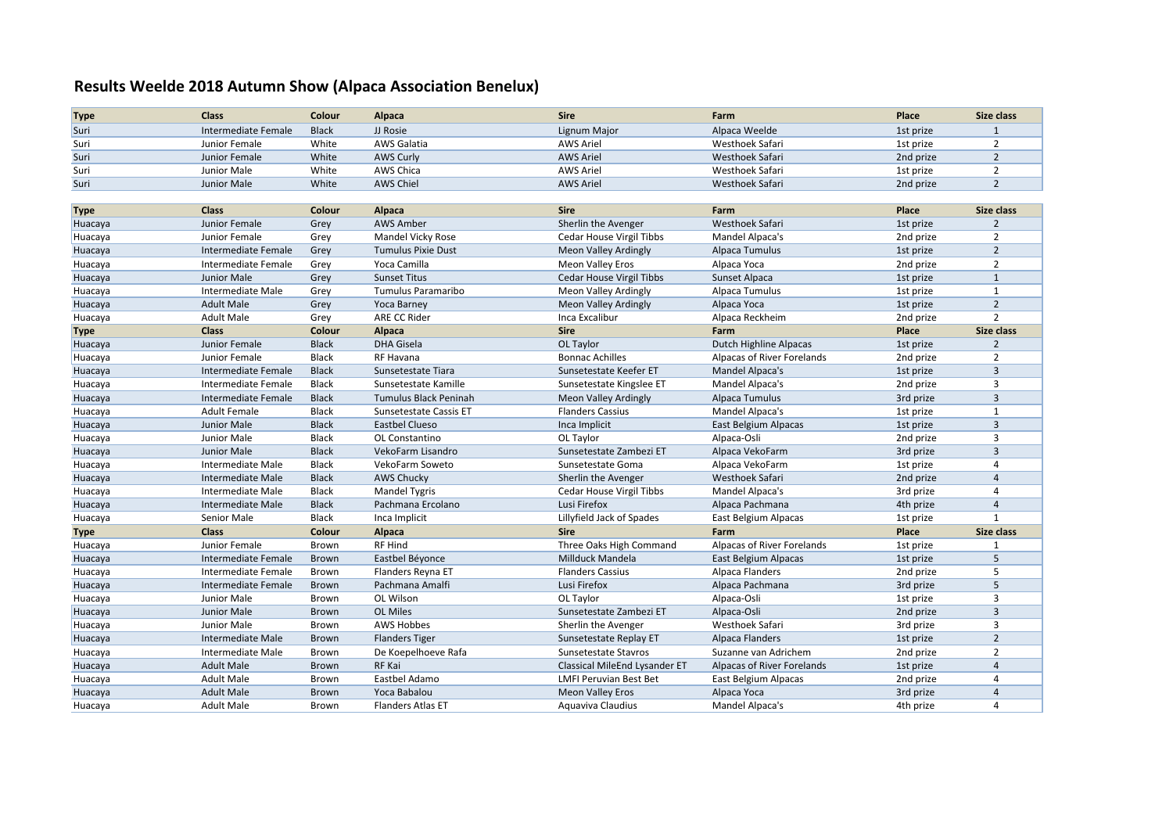## **Results Weelde 2018 Autumn Show (Alpaca Association Benelux)**

| <b>Type</b> | <b>Class</b>               | Colour       | Alpaca                       | <b>Sire</b>                   | Farm                       | Place     | Size class     |
|-------------|----------------------------|--------------|------------------------------|-------------------------------|----------------------------|-----------|----------------|
| Suri        | Intermediate Female        | <b>Black</b> | JJ Rosie                     | Lignum Major                  | Alpaca Weelde              | 1st prize | 1              |
| Suri        | Junior Female              | White        | <b>AWS Galatia</b>           | <b>AWS Ariel</b>              | Westhoek Safari            | 1st prize | $\overline{2}$ |
| Suri        | Junior Female              | White        | <b>AWS Curly</b>             | <b>AWS Ariel</b>              | Westhoek Safari            | 2nd prize | $\overline{2}$ |
| Suri        | Junior Male                | White        | AWS Chica                    | <b>AWS Ariel</b>              | Westhoek Safari            | 1st prize | $\overline{2}$ |
| Suri        | Junior Male                | White        | <b>AWS Chiel</b>             | <b>AWS Ariel</b>              | Westhoek Safari            | 2nd prize | $\overline{2}$ |
|             |                            |              |                              |                               |                            |           |                |
| <b>Type</b> | <b>Class</b>               | Colour       | <b>Alpaca</b>                | <b>Sire</b>                   | Farm                       | Place     | Size class     |
| Huacaya     | Junior Female              | Grey         | <b>AWS Amber</b>             | Sherlin the Avenger           | <b>Westhoek Safari</b>     | 1st prize | $\overline{2}$ |
| Huacaya     | Junior Female              | Grey         | Mandel Vicky Rose            | Cedar House Virgil Tibbs      | Mandel Alpaca's            | 2nd prize | $\overline{2}$ |
| Huacaya     | Intermediate Female        | Grey         | <b>Tumulus Pixie Dust</b>    | Meon Valley Ardingly          | Alpaca Tumulus             | 1st prize | $\overline{2}$ |
| Huacaya     | Intermediate Female        | Grey         | Yoca Camilla                 | Meon Valley Eros              | Alpaca Yoca                | 2nd prize | $\overline{2}$ |
| Huacaya     | Junior Male                | Grey         | <b>Sunset Titus</b>          | Cedar House Virgil Tibbs      | Sunset Alpaca              | 1st prize | $\mathbf{1}$   |
| Huacaya     | Intermediate Male          | Grey         | Tumulus Paramaribo           | Meon Valley Ardingly          | Alpaca Tumulus             | 1st prize | 1              |
| Huacaya     | <b>Adult Male</b>          | Grey         | <b>Yoca Barney</b>           | <b>Meon Valley Ardingly</b>   | Alpaca Yoca                | 1st prize | $\overline{2}$ |
| Huacaya     | <b>Adult Male</b>          | Grey         | ARE CC Rider                 | Inca Excalibur                | Alpaca Reckheim            | 2nd prize | $\overline{2}$ |
| <b>Type</b> | <b>Class</b>               | Colour       | Alpaca                       | <b>Sire</b>                   | Farm                       | Place     | Size class     |
| Huacaya     | Junior Female              | <b>Black</b> | <b>DHA Gisela</b>            | OL Taylor                     | Dutch Highline Alpacas     | 1st prize | $\overline{2}$ |
| Huacaya     | Junior Female              | <b>Black</b> | RF Havana                    | <b>Bonnac Achilles</b>        | Alpacas of River Forelands | 2nd prize | $\overline{2}$ |
| Huacaya     | <b>Intermediate Female</b> | <b>Black</b> | Sunsetestate Tiara           | Sunsetestate Keefer ET        | Mandel Alpaca's            | 1st prize | $\overline{3}$ |
| Huacaya     | Intermediate Female        | <b>Black</b> | Sunsetestate Kamille         | Sunsetestate Kingslee ET      | Mandel Alpaca's            | 2nd prize | 3              |
| Huacaya     | Intermediate Female        | <b>Black</b> | <b>Tumulus Black Peninah</b> | Meon Valley Ardingly          | Alpaca Tumulus             | 3rd prize | $\overline{3}$ |
| Huacaya     | <b>Adult Female</b>        | <b>Black</b> | Sunsetestate Cassis ET       | <b>Flanders Cassius</b>       | Mandel Alpaca's            | 1st prize | $\mathbf{1}$   |
| Huacaya     | Junior Male                | <b>Black</b> | <b>Eastbel Clueso</b>        | Inca Implicit                 | East Belgium Alpacas       | 1st prize | $\overline{3}$ |
| Huacaya     | Junior Male                | Black        | OL Constantino               | OL Taylor                     | Alpaca-Osli                | 2nd prize | 3              |
| Huacaya     | <b>Junior Male</b>         | <b>Black</b> | VekoFarm Lisandro            | Sunsetestate Zambezi ET       | Alpaca VekoFarm            | 3rd prize | $\overline{3}$ |
| Huacaya     | Intermediate Male          | <b>Black</b> | VekoFarm Soweto              | Sunsetestate Goma             | Alpaca VekoFarm            | 1st prize | 4              |
| Huacaya     | Intermediate Male          | <b>Black</b> | <b>AWS Chucky</b>            | Sherlin the Avenger           | Westhoek Safari            | 2nd prize | $\overline{4}$ |
| Huacaya     | Intermediate Male          | Black        | <b>Mandel Tygris</b>         | Cedar House Virgil Tibbs      | Mandel Alpaca's            | 3rd prize | 4              |
| Huacaya     | <b>Intermediate Male</b>   | <b>Black</b> | Pachmana Ercolano            | Lusi Firefox                  | Alpaca Pachmana            | 4th prize | $\overline{4}$ |
| Huacaya     | Senior Male                | Black        | Inca Implicit                | Lillyfield Jack of Spades     | East Belgium Alpacas       | 1st prize | 1              |
| <b>Type</b> | <b>Class</b>               | Colour       | Alpaca                       | <b>Sire</b>                   | Farm                       | Place     | Size class     |
| Huacaya     | Junior Female              | Brown        | <b>RF Hind</b>               | Three Oaks High Command       | Alpacas of River Forelands | 1st prize | 1              |
| Huacaya     | Intermediate Female        | Brown        | Eastbel Béyonce              | <b>Millduck Mandela</b>       | East Belgium Alpacas       | 1st prize | 5              |
| Huacaya     | Intermediate Female        | Brown        | Flanders Reyna ET            | <b>Flanders Cassius</b>       | Alpaca Flanders            | 2nd prize | 5              |
| Huacaya     | Intermediate Female        | Brown        | Pachmana Amalfi              | Lusi Firefox                  | Alpaca Pachmana            | 3rd prize | 5              |
| Huacaya     | Junior Male                | Brown        | OL Wilson                    | OL Taylor                     | Alpaca-Osli                | 1st prize | 3              |
| Huacaya     | Junior Male                | Brown        | <b>OL Miles</b>              | Sunsetestate Zambezi ET       | Alpaca-Osli                | 2nd prize | $\overline{3}$ |
| Huacaya     | Junior Male                | Brown        | <b>AWS Hobbes</b>            | Sherlin the Avenger           | Westhoek Safari            | 3rd prize | 3              |
| Huacaya     | <b>Intermediate Male</b>   | Brown        | <b>Flanders Tiger</b>        | Sunsetestate Replay ET        | <b>Alpaca Flanders</b>     | 1st prize | $\overline{2}$ |
| Huacaya     | Intermediate Male          | Brown        | De Koepelhoeve Rafa          | Sunsetestate Stavros          | Suzanne van Adrichem       | 2nd prize | $\overline{2}$ |
| Huacaya     | <b>Adult Male</b>          | Brown        | RF Kai                       | Classical MileEnd Lysander ET | Alpacas of River Forelands | 1st prize | $\overline{4}$ |
| Huacaya     | <b>Adult Male</b>          | Brown        | Eastbel Adamo                | <b>LMFI Peruvian Best Bet</b> | East Belgium Alpacas       | 2nd prize | 4              |
| Huacaya     | <b>Adult Male</b>          | Brown        | Yoca Babalou                 | <b>Meon Valley Eros</b>       | Alpaca Yoca                | 3rd prize | $\overline{4}$ |
| Huacaya     | <b>Adult Male</b>          | Brown        | <b>Flanders Atlas ET</b>     | Aquaviva Claudius             | Mandel Alpaca's            | 4th prize | $\overline{4}$ |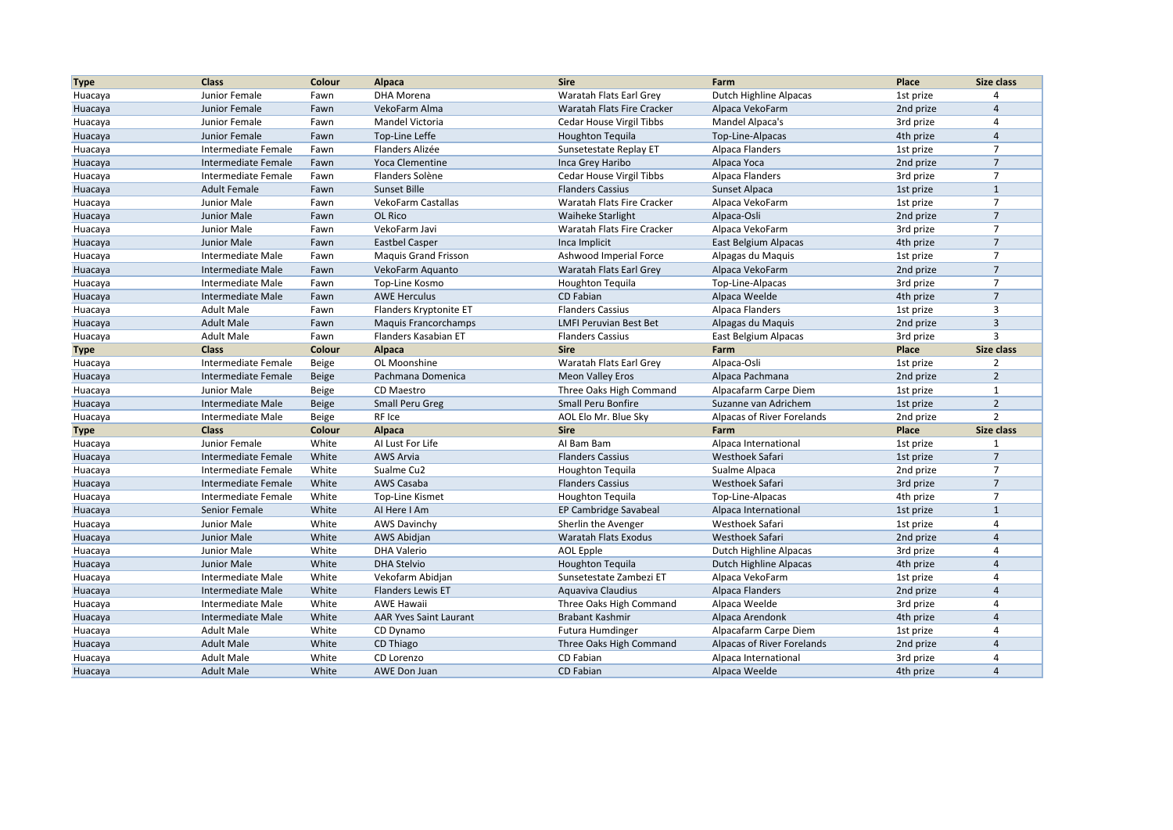| <b>Type</b> | <b>Class</b>        | Colour       | Alpaca                        | <b>Sire</b>                   | Farm                       | Place     | Size class     |
|-------------|---------------------|--------------|-------------------------------|-------------------------------|----------------------------|-----------|----------------|
| Huacaya     | Junior Female       | Fawn         | DHA Morena                    | Waratah Flats Earl Grey       | Dutch Highline Alpacas     | 1st prize | $\overline{4}$ |
| Huacaya     | Junior Female       | Fawn         | VekoFarm Alma                 | Waratah Flats Fire Cracker    | Alpaca VekoFarm            | 2nd prize | $\overline{4}$ |
| Huacaya     | Junior Female       | Fawn         | Mandel Victoria               | Cedar House Virgil Tibbs      | Mandel Alpaca's            | 3rd prize | 4              |
| Huacaya     | Junior Female       | Fawn         | Top-Line Leffe                | <b>Houghton Tequila</b>       | Top-Line-Alpacas           | 4th prize | $\overline{4}$ |
| Huacaya     | Intermediate Female | Fawn         | Flanders Alizée               | Sunsetestate Replay ET        | Alpaca Flanders            | 1st prize | $\overline{7}$ |
| Huacaya     | Intermediate Female | Fawn         | Yoca Clementine               | Inca Grey Haribo              | Alpaca Yoca                | 2nd prize | $\overline{7}$ |
| Huacaya     | Intermediate Female | Fawn         | Flanders Solène               | Cedar House Virgil Tibbs      | Alpaca Flanders            | 3rd prize | $\overline{7}$ |
| Huacaya     | <b>Adult Female</b> | Fawn         | Sunset Bille                  | <b>Flanders Cassius</b>       | Sunset Alpaca              | 1st prize | $\mathbf{1}$   |
| Huacaya     | Junior Male         | Fawn         | VekoFarm Castallas            | Waratah Flats Fire Cracker    | Alpaca VekoFarm            | 1st prize | $\overline{7}$ |
| Huacaya     | Junior Male         | Fawn         | OL Rico                       | <b>Waiheke Starlight</b>      | Alpaca-Osli                | 2nd prize | $\overline{7}$ |
| Huacaya     | Junior Male         | Fawn         | VekoFarm Javi                 | Waratah Flats Fire Cracker    | Alpaca VekoFarm            | 3rd prize | $\overline{7}$ |
| Huacaya     | Junior Male         | Fawn         | <b>Eastbel Casper</b>         | Inca Implicit                 | East Belgium Alpacas       | 4th prize | $\overline{7}$ |
| Huacaya     | Intermediate Male   | Fawn         | <b>Maguis Grand Frisson</b>   | Ashwood Imperial Force        | Alpagas du Maquis          | 1st prize | $\overline{7}$ |
| Huacaya     | Intermediate Male   | Fawn         | VekoFarm Aquanto              | Waratah Flats Earl Grey       | Alpaca VekoFarm            | 2nd prize | $\overline{7}$ |
| Huacaya     | Intermediate Male   | Fawn         | Top-Line Kosmo                | <b>Houghton Tequila</b>       | Top-Line-Alpacas           | 3rd prize | $\overline{7}$ |
| Huacaya     | Intermediate Male   | Fawn         | <b>AWE Herculus</b>           | CD Fabian                     | Alpaca Weelde              | 4th prize | $\overline{7}$ |
| Huacaya     | <b>Adult Male</b>   | Fawn         | Flanders Kryptonite ET        | <b>Flanders Cassius</b>       | Alpaca Flanders            | 1st prize | $\overline{3}$ |
| Huacaya     | <b>Adult Male</b>   | Fawn         | <b>Maquis Francorchamps</b>   | <b>LMFI Peruvian Best Bet</b> | Alpagas du Maquis          | 2nd prize | $\overline{3}$ |
| Huacaya     | <b>Adult Male</b>   | Fawn         | Flanders Kasabian ET          | <b>Flanders Cassius</b>       | East Belgium Alpacas       | 3rd prize | $\overline{3}$ |
| <b>Type</b> | <b>Class</b>        | Colour       | <b>Alpaca</b>                 | <b>Sire</b>                   | Farm                       | Place     | Size class     |
| Huacaya     | Intermediate Female | Beige        | OL Moonshine                  | Waratah Flats Earl Grey       | Alpaca-Osli                | 1st prize | $\overline{2}$ |
| Huacaya     | Intermediate Female | <b>Beige</b> | Pachmana Domenica             | <b>Meon Valley Eros</b>       | Alpaca Pachmana            | 2nd prize | $\overline{2}$ |
| Huacaya     | Junior Male         | Beige        | CD Maestro                    | Three Oaks High Command       | Alpacafarm Carpe Diem      | 1st prize | $\mathbf{1}$   |
| Huacaya     | Intermediate Male   | <b>Beige</b> | <b>Small Peru Greg</b>        | Small Peru Bonfire            | Suzanne van Adrichem       | 1st prize | $\overline{2}$ |
| Huacaya     | Intermediate Male   | Beige        | RF Ice                        | AOL Elo Mr. Blue Sky          | Alpacas of River Forelands | 2nd prize | $\overline{2}$ |
| <b>Type</b> | <b>Class</b>        | Colour       | <b>Alpaca</b>                 | <b>Sire</b>                   | Farm                       | Place     | Size class     |
| Huacaya     | Junior Female       | White        | AI Lust For Life              | Al Bam Bam                    | Alpaca International       | 1st prize | $\mathbf{1}$   |
| Huacaya     | Intermediate Female | White        | <b>AWS Arvia</b>              | <b>Flanders Cassius</b>       | Westhoek Safari            | 1st prize | $\overline{7}$ |
| Huacaya     | Intermediate Female | White        | Sualme Cu2                    | <b>Houghton Tequila</b>       | Sualme Alpaca              | 2nd prize | $\overline{7}$ |
| Huacaya     | Intermediate Female | White        | AWS Casaba                    | <b>Flanders Cassius</b>       | Westhoek Safari            | 3rd prize | $\overline{7}$ |
| Huacaya     | Intermediate Female | White        | Top-Line Kismet               | <b>Houghton Tequila</b>       | Top-Line-Alpacas           | 4th prize | $\overline{7}$ |
| Huacaya     | Senior Female       | White        | Al Here I Am                  | EP Cambridge Savabeal         | Alpaca International       | 1st prize | $\mathbf{1}$   |
| Huacaya     | Junior Male         | White        | <b>AWS Davinchy</b>           | Sherlin the Avenger           | Westhoek Safari            | 1st prize | $\overline{4}$ |
| Huacaya     | Junior Male         | White        | AWS Abidjan                   | Waratah Flats Exodus          | Westhoek Safari            | 2nd prize | $\overline{4}$ |
| Huacaya     | Junior Male         | White        | <b>DHA Valerio</b>            | <b>AOL Epple</b>              | Dutch Highline Alpacas     | 3rd prize | 4              |
| Huacaya     | Junior Male         | White        | <b>DHA Stelvio</b>            | <b>Houghton Tequila</b>       | Dutch Highline Alpacas     | 4th prize | $\overline{4}$ |
| Huacaya     | Intermediate Male   | White        | Vekofarm Abidjan              | Sunsetestate Zambezi ET       | Alpaca VekoFarm            | 1st prize | $\overline{4}$ |
| Huacaya     | Intermediate Male   | White        | <b>Flanders Lewis ET</b>      | Aquaviva Claudius             | <b>Alpaca Flanders</b>     | 2nd prize | $\overline{4}$ |
| Huacaya     | Intermediate Male   | White        | <b>AWE Hawaii</b>             | Three Oaks High Command       | Alpaca Weelde              | 3rd prize | $\overline{4}$ |
| Huacaya     | Intermediate Male   | White        | <b>AAR Yves Saint Laurant</b> | Brabant Kashmir               | Alpaca Arendonk            | 4th prize | $\overline{4}$ |
| Huacaya     | <b>Adult Male</b>   | White        | CD Dynamo                     | <b>Futura Humdinger</b>       | Alpacafarm Carpe Diem      | 1st prize | $\overline{4}$ |
| Huacaya     | <b>Adult Male</b>   | White        | CD Thiago                     | Three Oaks High Command       | Alpacas of River Forelands | 2nd prize | $\overline{4}$ |
| Huacaya     | <b>Adult Male</b>   | White        | CD Lorenzo                    | CD Fabian                     | Alpaca International       | 3rd prize | $\overline{4}$ |
| Huacaya     | <b>Adult Male</b>   | White        | <b>AWE Don Juan</b>           | CD Fabian                     | Alpaca Weelde              | 4th prize | $\overline{4}$ |